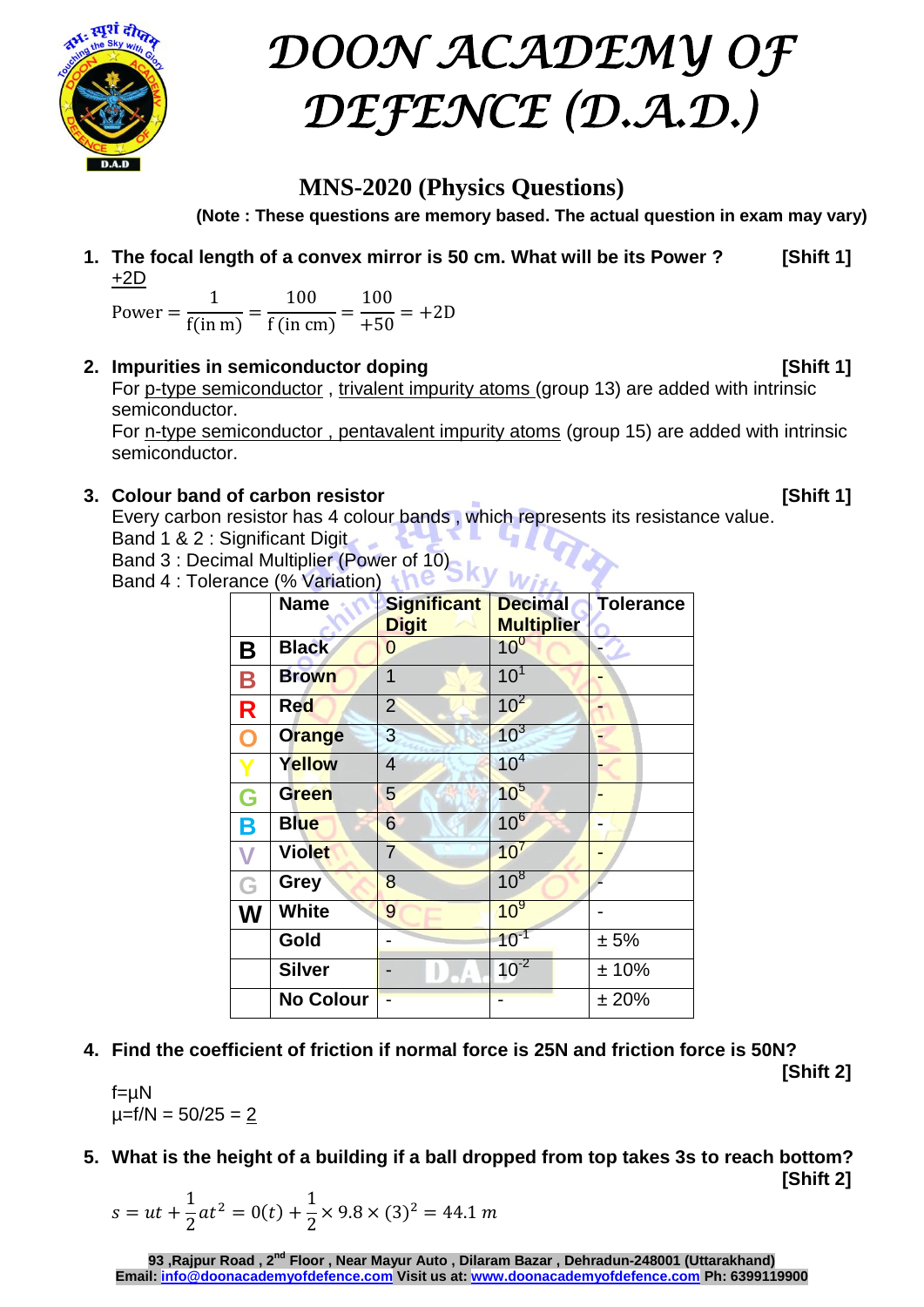

# *DOON ACADEMY OF DEFENCE (D.A.D.)*

### **MNS-2020 (Physics Questions)**

**(Note : These questions are memory based. The actual question in exam may vary)**

**1. The focal length of a convex mirror is 50 cm. What will be its Power ? [Shift 1]** +2D

 $\mathsf{P}$  $\mathbf{1}$ f  $=$  $\mathbf{1}$ f  $=$  $\mathbf{1}$  $+$ 

**2. Impurities in semiconductor doping [Shift 1]**

For p-type semiconductor , trivalent impurity atoms (group 13) are added with intrinsic semiconductor.

For n-type semiconductor , pentavalent impurity atoms (group 15) are added with intrinsic semiconductor.

#### **3. Colour band of carbon resistor [Shift 1]**

Every carbon resistor has 4 colour bands , which represents its resistance value. Band 1 & 2 : Significant Digit  $\mathbf{L} \mathbf{u}$ 

Band 3 : Decimal Multiplier (Power of 10)

Band 4 : Tolerance (% Variation)

|                         | <b>Name</b>      | <b>Significant</b> | <b>Decimal</b>    | <b>Tolerance</b> |
|-------------------------|------------------|--------------------|-------------------|------------------|
|                         |                  | <b>Digit</b>       | <b>Multiplier</b> |                  |
| Β                       | <b>Black</b>     | 0                  | 10 <sup>0</sup>   |                  |
| B                       | <b>Brown</b>     | $\overline{1}$     | 10 <sup>1</sup>   |                  |
| R                       | Red              | $\overline{2}$     | $10^2$            |                  |
| O                       | <b>Orange</b>    | 3                  | $10^3$            |                  |
|                         | Yellow           | 4                  | 10 <sup>4</sup>   |                  |
| G                       | <b>Green</b>     | 5                  | 10 <sup>5</sup>   |                  |
| B                       | <b>Blue</b>      | $6\phantom{1}$     | $10^6$            |                  |
| $\overline{\mathsf{V}}$ | <b>Violet</b>    | $\overline{7}$     | 10 <sup>7</sup>   |                  |
| G                       | <b>Grey</b>      | 8                  | $10^8$            |                  |
| W                       | White            | 9                  | 10 <sup>9</sup>   |                  |
|                         | Gold             |                    | $10^{-1}$         | ± 5%             |
|                         | <b>Silver</b>    |                    | $10^{-2}$         | ±10%             |
|                         | <b>No Colour</b> |                    |                   | ± 20%            |

**4. Find the coefficient of friction if normal force is 25N and friction force is 50N? [Shift 2]**

 $\mu = f/N = 50/25 = 2$ 

f=µN

**5. What is the height of a building if a ball dropped from top takes 3s to reach bottom? [Shift 2]**

$$
s = ut + \frac{1}{2}at^2 = 0(t) + \frac{1}{2} \times 9.8 \times (3)^2 = 44.1 \, m
$$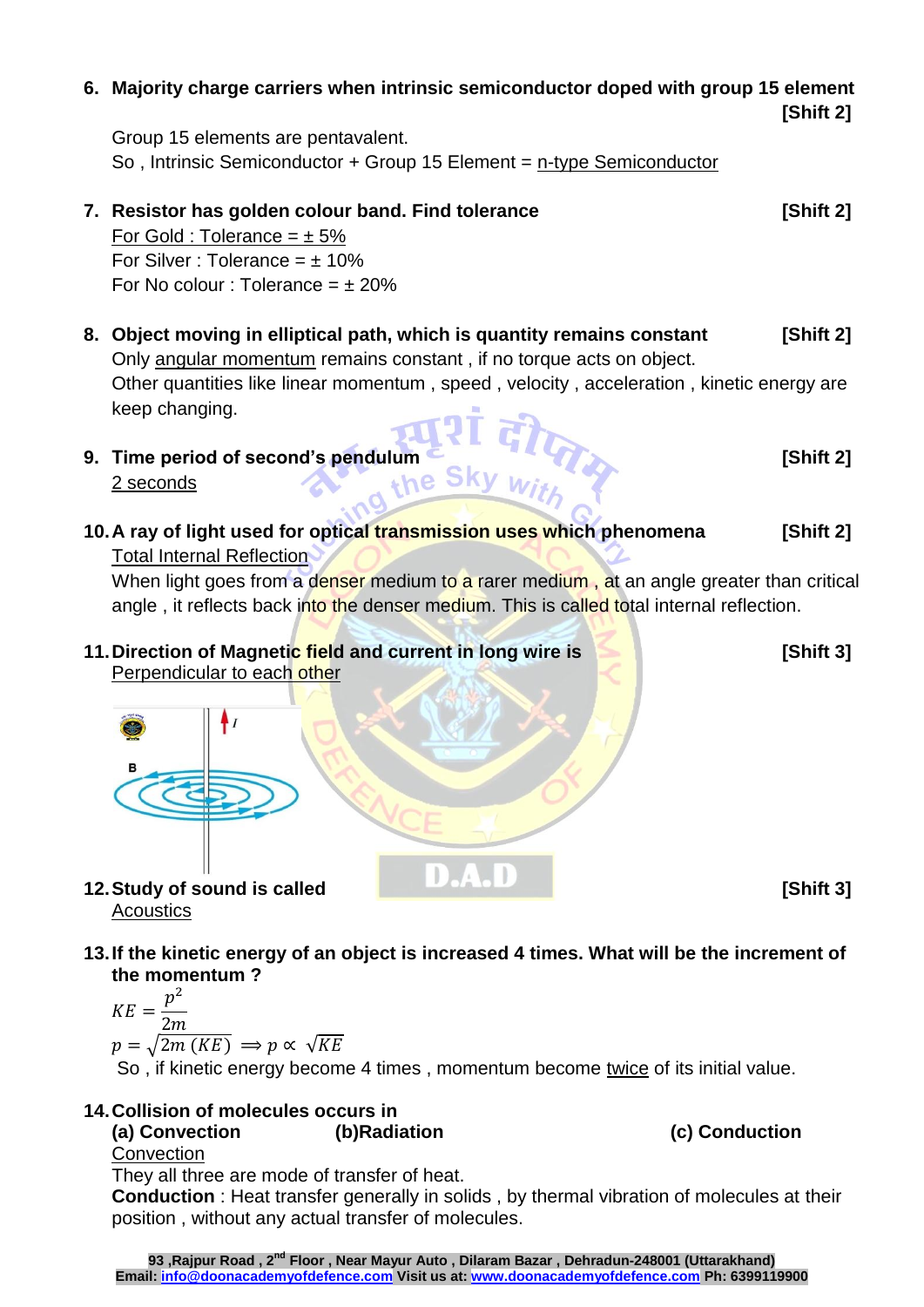#### **6. Majority charge carriers when intrinsic semiconductor doped with group 15 element**

Group 15 elements are pentavalent. So , Intrinsic Semiconductor + Group 15 Element = n-type Semiconductor

## **7. Resistor has golden colour band. Find tolerance [Shift 2]**

For Gold : Tolerance =  $\pm$  5% For Silver : Tolerance =  $\pm$  10% For No colour : Tolerance =  $\pm$  20%

- **8. Object moving in elliptical path, which is quantity remains constant [Shift 2]** Only angular momentum remains constant , if no torque acts on object. Other quantities like linear momentum , speed , velocity , acceleration , kinetic energy are keep changing.
- **9. Time period of second's pendulum [Shift 2]** 2 seconds
- **10.A ray of light used for optical transmission uses which phenomena [Shift 2]** Total Internal Reflection

When light goes from a denser medium to a rarer medium, at an angle greater than critical angle, it reflects back into the denser medium. This is called total internal reflection.

**11.Direction of Magnetic field and current in long wire is [Shift 3]** Perpendicular to each other

**13.If the kinetic energy of an object is increased 4 times. What will be the increment of the momentum ?**

$$
KE = \frac{p^2}{2m}
$$
  

$$
p = \sqrt{2m (KE)} \implies p \propto \sqrt{KE}
$$

So , if kinetic energy become 4 times , momentum become twice of its initial value.

#### **14.Collision of molecules occurs in**

**(a) Convection (b)Radiation (c) Conduction** 

**Convection** 

**Acoustics** 

They all three are mode of transfer of heat.

**Conduction** : Heat transfer generally in solids , by thermal vibration of molecules at their position , without any actual transfer of molecules.



**12. Study of sound is called D.A.D** 

**[Shift 2]**